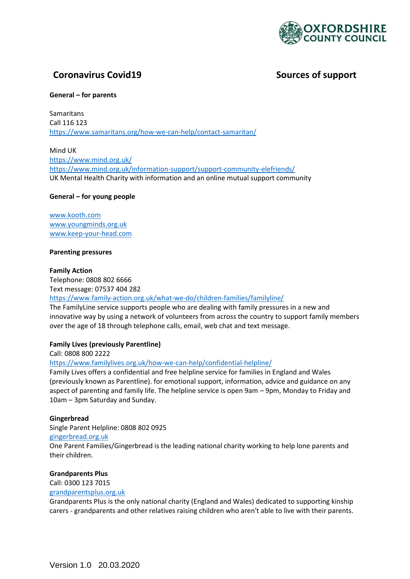

# **Coronavirus Covid19 Sources of support**

**General – for parents**

**Samaritans** Call 116 123 <https://www.samaritans.org/how-we-can-help/contact-samaritan/>

Mind UK <https://www.mind.org.uk/> <https://www.mind.org.uk/information-support/support-community-elefriends/> UK Mental Health Charity with information and an online mutual support community

# **General – for young people**

[www.kooth.com](http://www.kooth.com/) [www.youngminds.org.uk](http://www.youngminds.org.uk/) [www.keep-your-head.com](http://www.keep-your-head.com/)

# **Parenting pressures**

#### **Family Action**

Telephone: 0808 802 6666 Text message: 07537 404 282 <https://www.family-action.org.uk/what-we-do/children-families/familyline/>

The FamilyLine service supports people who are dealing with family pressures in a new and innovative way by using a network o[f volunteers](https://www.family-action.org.uk/get-involved/volunteer/) from across the country to support family members over the age of 18 through telephone calls, email, web chat and text message.

# **Family Lives (previously Parentline)**

Call: 0808 800 2222

<https://www.familylives.org.uk/how-we-can-help/confidential-helpline/>

Family Lives offers a confidential and free helpline service for families in England and Wales (previously known as Parentline). for emotional support, information, advice and guidance on any aspect of parenting and family life. The helpline service is open 9am – 9pm, Monday to Friday and 10am – 3pm Saturday and Sunday.

# **Gingerbread**

Single Parent Helpline: 0808 802 0925

# [gingerbread.org.uk](http://www.gingerbread.org.uk/)

One Parent Families/Gingerbread is the leading national charity working to help lone parents and their children.

# **Grandparents Plus**

# Call: 0300 123 7015

# [grandparentsplus.org.uk](http://www.grandparentsplus.org.uk/)

Grandparents Plus is the only national charity (England and Wales) dedicated to supporting kinship carers - grandparents and other relatives raising children who aren't able to live with their parents.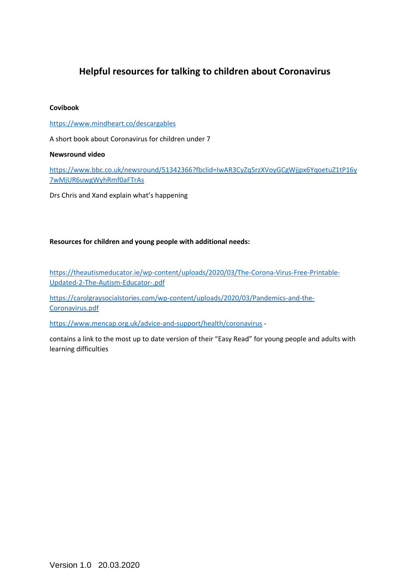# **Helpful resources for talking to children about Coronavirus**

# **Covibook**

# <https://www.mindheart.co/descargables>

A short book about Coronavirus for children under 7

# **Newsround video**

[https://www.bbc.co.uk/newsround/51342366?fbclid=IwAR3CyZq5rzXVoyGCgWjjpx6YqoetuZ1tP16y](https://www.bbc.co.uk/newsround/51342366?fbclid=IwAR3CyZq5rzXVoyGCgWjjpx6YqoetuZ1tP16y7wMjUR6uwgWyhRmf0aFTrAs) [7wMjUR6uwgWyhRmf0aFTrAs](https://www.bbc.co.uk/newsround/51342366?fbclid=IwAR3CyZq5rzXVoyGCgWjjpx6YqoetuZ1tP16y7wMjUR6uwgWyhRmf0aFTrAs)

Drs Chris and Xand explain what's happening

# **Resources for children and young people with additional needs:**

[https://theautismeducator.ie/wp-content/uploads/2020/03/The-Corona-Virus-Free-Printable-](https://theautismeducator.ie/wp-content/uploads/2020/03/The-Corona-Virus-Free-Printable-Updated-2-The-Autism-Educator-.pdf)[Updated-2-The-Autism-Educator-.pdf](https://theautismeducator.ie/wp-content/uploads/2020/03/The-Corona-Virus-Free-Printable-Updated-2-The-Autism-Educator-.pdf)

[https://carolgraysocialstories.com/wp-content/uploads/2020/03/Pandemics-and-the-](https://carolgraysocialstories.com/wp-content/uploads/2020/03/Pandemics-and-the-Coronavirus.pdf)[Coronavirus.pdf](https://carolgraysocialstories.com/wp-content/uploads/2020/03/Pandemics-and-the-Coronavirus.pdf)

<https://www.mencap.org.uk/advice-and-support/health/coronavirus> -

contains a link to the most up to date version of their "Easy Read" for young people and adults with learning difficulties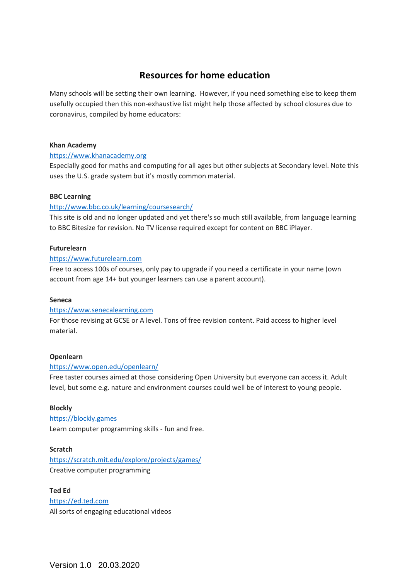# **Resources for home education**

Many schools will be setting their own learning. However, if you need something else to keep them usefully occupied then this non-exhaustive list might help those affected by school closures due to coronavirus, compiled by home educators:

#### **Khan Academy**

# [https://www.khanacademy.org](https://www.khanacademy.org/)

Especially good for maths and computing for all ages but other subjects at Secondary level. Note this uses the U.S. grade system but it's mostly common material.

#### **BBC Learning**

# <http://www.bbc.co.uk/learning/coursesearch/>

This site is old and no longer updated and yet there's so much still available, from language learning to BBC Bitesize for revision. No TV license required except for content on BBC iPlayer.

#### **Futurelearn**

#### [https://www.futurelearn.com](https://www.futurelearn.com/)

Free to access 100s of courses, only pay to upgrade if you need a certificate in your name (own account from age 14+ but younger learners can use a parent account).

#### **Seneca**

#### [https://www.senecalearning.com](https://www.senecalearning.com/)

For those revising at GCSE or A level. Tons of free revision content. Paid access to higher level material.

#### **Openlearn**

#### <https://www.open.edu/openlearn/>

Free taster courses aimed at those considering Open University but everyone can access it. Adult level, but some e.g. nature and environment courses could well be of interest to young people.

#### **Blockly**

[https://blockly.games](https://blockly.games/) Learn computer programming skills - fun and free.

### **Scratch**

<https://scratch.mit.edu/explore/projects/games/> Creative computer programming

**Ted Ed** [https://ed.ted.com](https://ed.ted.com/) All sorts of engaging educational videos

Version 1.0 20.03.2020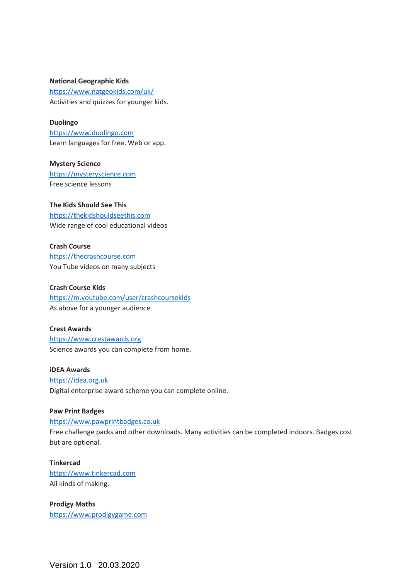#### **National Geographic Kids**

<https://www.natgeokids.com/uk/> Activities and quizzes for younger kids.

**Duolingo** [https://www.duolingo.com](https://www.duolingo.com/) Learn languages for free. Web or app.

**Mystery Science** [https://mysteryscience.com](https://mysteryscience.com/) Free science lessons

**The Kids Should See This** [https://thekidshouldseethis.com](https://thekidshouldseethis.com/)

Wide range of cool educational videos

**Crash Course** [https://thecrashcourse.com](https://thecrashcourse.com/) You Tube videos on many subjects

**Crash Course Kids** <https://m.youtube.com/user/crashcoursekids> As above for a younger audience

**Crest Awards** [https://www.crestawards.org](https://www.crestawards.org/) Science awards you can complete from home.

**iDEA Awards** [https://idea.org.uk](https://idea.org.uk/) Digital enterprise award scheme you can complete online.

# **Paw Print Badges**

# [https://www.pawprintbadges.co.uk](https://www.pawprintbadges.co.uk/)

Free challenge packs and other downloads. Many activities can be completed indoors. Badges cost but are optional.

**Tinkercad** [https://www.tinkercad.com](https://www.tinkercad.com/) All kinds of making.

**Prodigy Maths** [https://www.prodigygame.com](https://www.prodigygame.com/)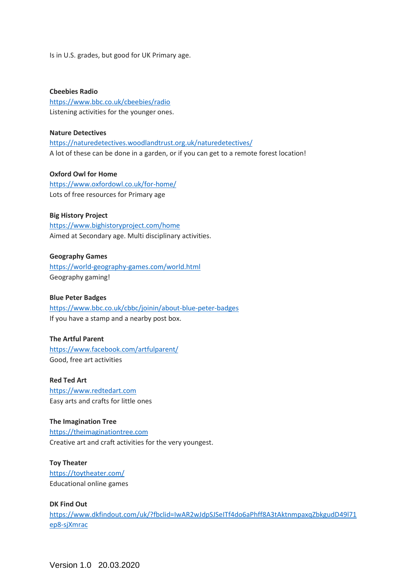Is in U.S. grades, but good for UK Primary age.

**Cbeebies Radio** <https://www.bbc.co.uk/cbeebies/radio> Listening activities for the younger ones.

#### **Nature Detectives**

<https://naturedetectives.woodlandtrust.org.uk/naturedetectives/> A lot of these can be done in a garden, or if you can get to a remote forest location!

**Oxford Owl for Home** <https://www.oxfordowl.co.uk/for-home/> Lots of free resources for Primary age

#### **Big History Project**

<https://www.bighistoryproject.com/home> Aimed at Secondary age. Multi disciplinary activities.

**Geography Games**

<https://world-geography-games.com/world.html> Geography gaming!

#### **Blue Peter Badges**

<https://www.bbc.co.uk/cbbc/joinin/about-blue-peter-badges> If you have a stamp and a nearby post box.

#### **The Artful Parent**

<https://www.facebook.com/artfulparent/> Good, free art activities

**Red Ted Art** [https://www.redtedart.com](https://www.redtedart.com/) Easy arts and crafts for little ones

#### **The Imagination Tree**

[https://theimaginationtree.com](https://theimaginationtree.com/) Creative art and craft activities for the very youngest.

**Toy Theater** <https://toytheater.com/>

Educational online games

#### **DK Find Out**

[https://www.dkfindout.com/uk/?fbclid=IwAR2wJdpSJSeITf4do6aPhff8A3tAktnmpaxqZbkgudD49l71](https://www.dkfindout.com/uk/?fbclid=IwAR2wJdpSJSeITf4do6aPhff8A3tAktnmpaxqZbkgudD49l71ep8-sjXmrac) [ep8-sjXmrac](https://www.dkfindout.com/uk/?fbclid=IwAR2wJdpSJSeITf4do6aPhff8A3tAktnmpaxqZbkgudD49l71ep8-sjXmrac)

Version 1.0 20.03.2020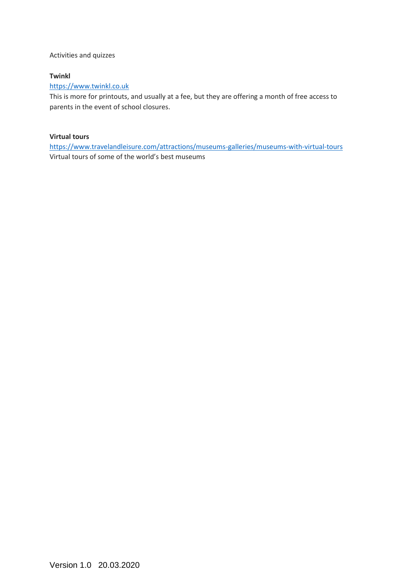# Activities and quizzes

# **Twinkl**

# [https://www.twinkl.co.uk](https://www.twinkl.co.uk/)

This is more for printouts, and usually at a fee, but they are offering a month of free access to parents in the event of school closures.

# **Virtual tours**

<https://www.travelandleisure.com/attractions/museums-galleries/museums-with-virtual-tours> Virtual tours of some of the world's best museums